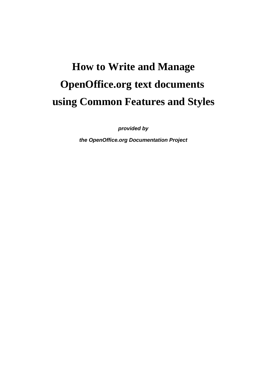# **How to Write and Manage OpenOffice.org text documents using Common Features and Styles**

**provided by**

**the OpenOffice.org Documentation Project**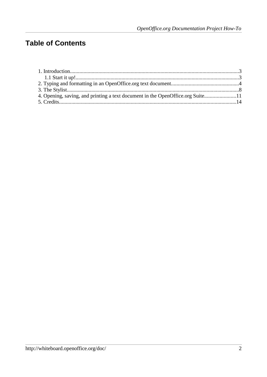# **Table of Contents**

| 4. Opening, saving, and printing a text document in the OpenOffice.org Suite11 |  |
|--------------------------------------------------------------------------------|--|
|                                                                                |  |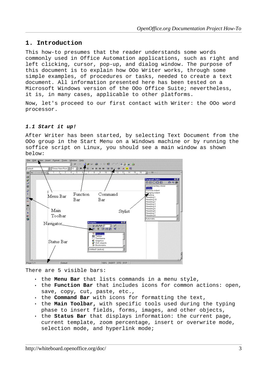## **1. Introduction**

This how-to presumes that the reader understands some words commonly used in Office Automation applications, such as right and left clicking, cursor, pop-up, and dialog window. The purpose of this document is to explain how OOo Writer works, through some simple examples, of procedures or tasks, needed to create a text document. All information presented here has been tested on a Microsoft Windows version of the OOo Office Suite; nevertheless, it is, in many cases, applicable to other platforms.

Now, let's proceed to our first contact with Writer: the OOo word processor.

#### **1.1 Start it up!**

After Writer has been started, by selecting Text Document from the OOo group in the Start Menu on a Windows machine or by running the soffice script on Linux, you should see a main window as shown below:



There are 5 visible bars:

- the **Menu Bar** that lists commands in a menu style,
- the **Function Bar** that includes icons for common actions: open, save, copy, cut, paste, etc.,
- the **Command Bar** with icons for formatting the text,
- the **Main Toolbar,** with specific tools used during the typing phase to insert fields, forms, images, and other objects,
- the **Status Bar** that displays information: the current page, current template, zoom percentage, insert or overwrite mode, selection mode, and hyperlink mode;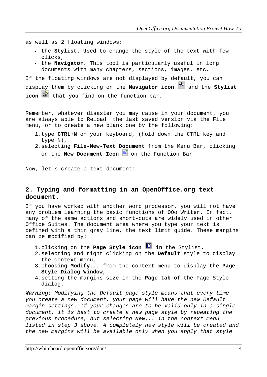as well as 2 floating windows:

- the **Stylist. U**sed to change the style of the text with few clicks,
- the **Navigator.** This tool is particularly useful in long documents with many chapters, sections, images, etc.

If the floating windows are not displayed by default, you can display them by clicking on the **Navigator icon**  $*$  and the **Stylist** icon  $t^*$  that you find on the function bar.

Remember, whatever disaster you may cause in your document, you are always able to Reload the last saved version via the File menu, or to create a new blank one by the following:

- 1.type **CTRL+N** on your keyboard, (hold down the CTRL key and type N),
- 2.selecting **File-New-Text Document** from the Menu Bar, clicking on the **New Document Icon**  $\overrightarrow{=}$  on the Function Bar.

Now, let's create a text document:

#### **2. Typing and formatting in an OpenOffice.org text document.**

If you have worked with another word processor, you will not have any problem learning the basic functions of OOo Writer. In fact, many of the same actions and short-cuts are widely used in other Office Suites. The document area where you type your text is defined with a thin gray line, the text limit guide. These margins can be modified by:

- 1.clicking on the **Page Style icon in** in the Stylist,
- 2.selecting and right clicking on the **Default** style to display the context menu,
- 3.choosing **Modify...** from the context menu to display the **Page Style Dialog Window,**
- 4.setting the margins size in the **Page tab** of the Page Style dialog.

**Warning:** Modifying the Default page style means that every time you create a new document, your page will have the new Default margin settings. If your changes are to be valid only in a single document, it is best to create a new page style by repeating the previous procedure, but selecting **New...** in the context menu listed in step 3 above. A completely new style will be created and the new margins will be available only when you apply that style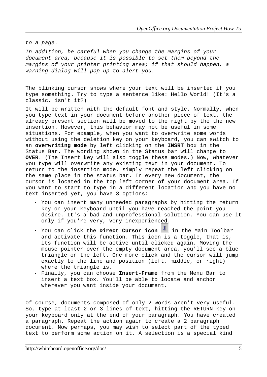to a page.

In addition, be careful when you change the margins of your document area, because it is possible to set them beyond the margins of your printer printing area; if that should happen, a warning dialog will pop up to alert you.

The blinking cursor shows where your text will be inserted if you type something. Try to type a sentence like: Hello World! (It's a classic, isn't it?)

It will be written with the default font and style. Normally, when you type text in your document before another piece of text, the already present section will be moved to the right by the the new insertion. However, this behavior may not be useful in some situations. For example, when you want to overwrite some words without using the deletion key on your keyboard, you can switch to an **overwriting mode** by left clicking on the **INSRT** box in the Status Bar. The wording shown in the Status bar will change to **OVER**. (The Insert key will also toggle these modes.) Now, whatever you type will overwrite any existing text in your document. To return to the insertion mode, simply repeat the left clicking on the same place in the status bar. In every new document, the cursor is located in the top left corner of your document area. If you want to start to type in a different location and you have no text inserted yet, you have 3 options:

- You can insert many unneeded paragraphs by hitting the return key on your keyboard until you have reached the point you desire. It's a bad and unprofessional solution. You can use it only if you're very, very inexperienced.
- You can click the **Direct Cursor icon** in the Main Toolbar and activate this function. This icon is a toggle, that is, its function will be active until clicked again. Moving the mouse pointer over the empty document area, you'll see a blue triangle on the left. One more click and the cursor will jump exactly to the line and position (left, middle, or right) where the triangle is.
- Finally, you can choose **Insert-Frame** from the Menu Bar to insert a text box. You'll be able to locate and anchor wherever you want inside your document.

Of course, documents composed of only 2 words aren't very useful. So, type at least 2 or 3 lines of text, hitting the RETURN key on your keyboard only at the end of your paragraph. You have created a paragraph. Repeat the action again to create a 2 paragraph document. Now perhaps, you may wish to select part of the typed text to perform some action on it. A selection is a special kind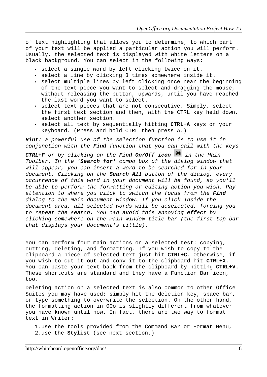of text highlighting that allows you to determine, to which part of your text will be applied a particular action you will perform. Usually, the selected text is displayed with white letters on a black background. You can select in the following ways:

- select a single word by left clicking twice on it.
- select a line by clicking 3 times somewhere inside it.
- select multiple lines by left clicking once near the beginning of the text piece you want to select and dragging the mouse, without releasing the button, upwards, until you have reached the last word you want to select.
- select text pieces that are not consecutive. Simply, select the first text section and then, with the CTRL key held down, select another section.
- select all text by sequentially hitting **CTRL+A** keys on your keyboard. (Press and hold CTRL then press A.)

**Hint:** a powerful use of the selection function is to use it in conjunction with the **Find** function that you can call with the keys

**CTRL+F** or by clicking on the **Find On/Off icon** in the Main Toolbar. In the **'Search for'** combo box of the dialog window that will appear, you can insert a word to be searched for in your document. Clicking on the **Search All** button of the dialog, every occurrence of this word in your document will be found, so you'll be able to perform the formatting or editing action you wish. Pay attention to where you click to switch the focus from the **Find** dialog to the main document window. If you click inside the document area, all selected words will be deselected, forcing you to repeat the search. You can avoid this annoying effect by clicking somewhere on the main window title bar (the first top bar that displays your document's tittle).

You can perform four main actions on a selected test: copying, cutting, deleting, and formatting. If you wish to copy to the clipboard a piece of selected text just hit **CTRL+C.** Otherwise, if you wish to cut it out and copy it to the clipboard hit **CTRL+X**. You can paste your text back from the clipboard by hitting **CTRL+V.** These shortcuts are standard and they have a Function Bar icon, too.

Deleting action on a selected text is also common to other Office Suites you may have used: simply hit the deletion key, space bar, or type something to overwrite the selection. On the other hand, the formatting action in OOo is slightly different from whatever you have known until now. In fact, there are two way to format text in Writer:

1.use the tools provided from the Command Bar or Format Menu, 2.use the **Stylist** (see next section.)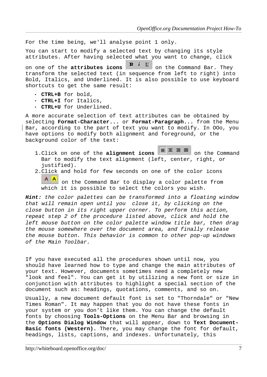For the time being, we'll analyse point 1 only.

You can start to modify a selected text by changing its style attributes. After having selected what you want to change, click

on one of the **attributes icons B** i **U** on the Command Bar. They transform the selected text (in sequence from left to right) into Bold, Italics, and Underlined. It is also possible to use keyboard shortcuts to get the same result:

- **CTRL+B** for bold,
- **CTRL+I** for Italics,
- **CTRL+U** for Underlined.

A more accurate selection of text attributes can be obtained by selecting **Format-Character...** or **Format-Paragraph...** from the Menu Bar, according to the part of text you want to modify. In OOo, you have options to modify both alignment and foreground, or the background color of the text:

- 1.Click on one of the **alignment icons**  $\equiv \equiv \equiv$   $\equiv$  on the Command Bar to modify the text alignment (left, center, right, or justified).
- 2.Click and hold for few seconds on one of the color icons A A

 on the Command Bar to display a color palette from which it is possible to select the colors you wish.

**Hint:** the color palettes can be transformed into a floating window that will remain open until you close it, by clicking on the close button in its right upper corner. To perform this action, repeat step 2 of the procedure listed above, click and hold the left mouse button on the color palette window title bar, then drag the mouse somewhere over the document area, and finally release the mouse button. This behavior is common to other pop-up windows of the Main Toolbar.

If you have executed all the procedures shown until now, you should have learned how to type and change the main attributes of your text. However, documents sometimes need a completely new "look and feel". You can get it by utilizing a new font or size in conjunction with attributes to highlight a special section of the document such as: headings, quotations, comments, and so on.

Usually, a new document default font is set to "Thorndale" or "New Times Roman". It may happen that you do not have these fonts in your system or you don't like them. You can change the default fonts by choosing **Tools-Options** on the Menu Bar and browsing in the **Options Dialog Window** that will appear, down to **Text Document-Basic fonts (Western).** There, you may change the font for default, headings, lists, captions, and indexes. Unfortunately, this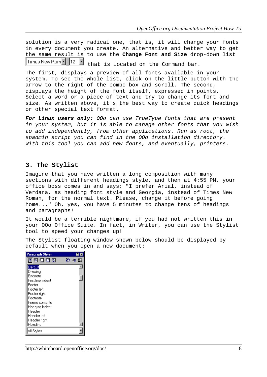solution is a very radical one, that is, it will change your fonts in every document you create. An alternative and better way to get the same result is to use the **Change Font and Size** drop-down list 12 Times New Rom **\*** that is located on the Command bar.

The first, displays a preview of all fonts available in your system. To see the whole list, click on the little button with the arrow to the right of the combo box and scroll. The second, displays the height of the font itself, expressed in points. Select a word or a piece of text and try to change its font and size. As written above, it's the best way to create quick headings or other special text format.

For Linux users only: 000 can use TrueType fonts that are present in your system, but it is able to manage other fonts that you wish to add independently, from other applications. Run as root, the spadmin script you can find in the OOo installation directory. With this tool you can add new fonts, and eventually, printers.

#### **3. The Stylist**

Imagine that you have written a long composition with many sections with different headings style, and then at 4:55 PM, your office boss comes in and says: "I prefer Arial, instead of Verdana, as heading font style and Georgia, instead of Times New Roman, for the normal text. Please, change it before going home..." Oh, yes, you have 5 minutes to change tens of headings and paragraphs!

It would be a terrible nightmare, if you had not written this in your OOo Office Suite. In fact, in Writer, you can use the Stylist tool to speed your changes up!

The Stylist floating window shown below should be displayed by default when you open a new document:

| <b>Paragraph Styles</b> |     |
|-------------------------|-----|
| 的过去分词                   | ∰ 頭 |
| Default                 |     |
| Drawing                 |     |
| Endnote                 |     |
| First line indent       |     |
| Footer                  |     |
| Footer left             |     |
| Footer right            |     |
| Footnote                |     |
| Frame contents          |     |
| Hanging indent          |     |
| Header                  |     |
| Header left             |     |
| Header right            |     |
| Heading                 |     |
| Styles                  |     |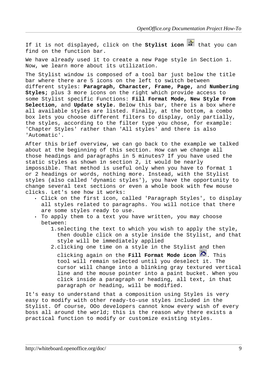If it is not displayed, click on the **Stylist icon if** that you can find on the function bar.

We have already used it to create a new Page style in Section 1. Now, we learn more about its utilization.

The Stylist window is composed of a tool bar just below the title bar where there are 5 icons on the left to switch between different styles: **Paragraph, Character, Frame, Page,** and **Numbering Styles;** plus 3 more icons on the right which provide access to some Stylist specific Functions: **Fill Format Mode, New Style From Selection,** and **Update style.** Below this bar, there is a box where all available styles are listed. Finally, at the bottom, a combo box lets you choose different filters to display, only partially, the styles, according to the filter type you chose, for example: 'Chapter Styles' rather than 'All styles' and there is also 'Automatic'.

After this brief overview, we can go back to the example we talked about at the beginning of this section. How can we change all those headings and paragraphs in 5 minutes? If you have used the static styles as shown in section 2, it would be nearly impossible. That method is useful only when you have to format 1 or 2 headings or words, nothing more. Instead, with the Stylist styles (also called 'dynamic styles'), you have the opportunity to change several text sections or even a whole book with few mouse clicks. Let's see how it works:

- Click on the first icon, called 'Paragraph Styles', to display all styles related to paragraphs. You will notice that there are some styles ready to use.
- To apply them to a text you have written, you may choose between:
	- 1.selecting the text to which you wish to apply the style, then double click on a style inside the Stylist, and that style will be immediately applied
	- 2.clicking one time on a style in the Stylist and then clicking again on the **Fill Format Mode icon** . This tool will remain selected until you deselect it. The cursor will change into a blinking gray textured vertical line and the mouse pointer into a paint bucket. When you click inside a paragraph or heading, all text, in that paragraph or heading, will be modified.

It's easy to understand that a composition using Styles is very easy to modify with other ready-to-use styles included in the Stylist. Of course, OOo developers cannot know every wish of every boss all around the world; this is the reason why there exists a practical function to modify or customize existing styles.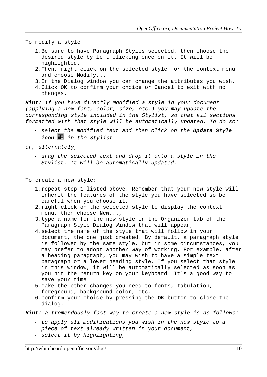To modify a style:

- 1.Be sure to have Paragraph Styles selected, then choose the desired style by left clicking once on it. It will be highlighted.
- 2.Then, right click on the selected style for the context menu and choose **Modify...**
- 3.In the Dialog window you can change the attributes you wish.
- 4.Click OK to confirm your choice or Cancel to exit with no changes.

**Hint:** if you have directly modified a style in your document (applying a new font, color, size, etc.) you may update the corresponding style included in the Stylist, so that all sections formatted with that style will be automatically updated. To do so:

 select the modified text and then click on the **Update Style icon** in the Stylist

or, alternately,

 drag the selected text and drop it onto a style in the Stylist. It will be automatically updated.

To create a new style:

- 1.repeat step 1 listed above. Remember that your new style will inherit the features of the style you have selected so be careful when you choose it,
- 2.right click on the selected style to display the context menu, then choose **New...,**
- 3.type a name for the new style in the Organizer tab of the Paragraph Style Dialog Window that will appear,
- 4.select the name of the style that will follow in your document, the one just created. By default, a paragraph style is followed by the same style, but in some circumstances, you may prefer to adopt another way of working. For example, after a heading paragraph, you may wish to have a simple text paragraph or a lower heading style. If you select that style in this window, it will be automatically selected as soon as you hit the return key on your keyboard. It's a good way to save your time!
- 5.make the other changes you need to fonts, tabulation, foreground, background color, etc.
- 6.confirm your choice by pressing the **OK** button to close the dialog.

**Hint:** a tremendously fast way to create a new style is as follows:

- to apply all modifications you wish in the new style to a piece of text already written in your document,
- select it by highlighting,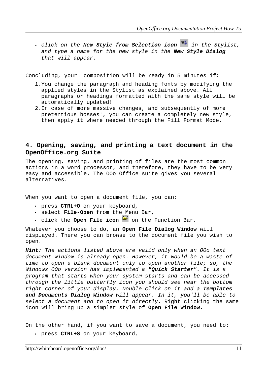• click on the **New Style from Selection icon**  $\overline{\phantom{a}}$  in the Stylist, and type a name for the new style in the **New Style Dialog** that will appear.

Concluding, your composition will be ready in 5 minutes if:

- 1.You change the paragraph and heading fonts by modifying the applied styles in the Stylist as explained above. All paragraphs or headings formatted with the same style will be automatically updated!
- 2.In case of more massive changes, and subsequently of more pretentious bosses!, you can create a completely new style, then apply it where needed through the Fill Format Mode.

## **4. Opening, saving, and printing a text document in the OpenOffice.org Suite**

The opening, saving, and printing of files are the most common actions in a word processor, and therefore, they have to be very easy and accessible. The OOo Office suite gives you several alternatives.

When you want to open a document file, you can:

- press **CTRL+O** on your keyboard,
- select **File-Open** from the Menu Bar,
- $\cdot$  click the **Open File icon**  $\blacksquare$  on the Function Bar.

Whatever you choose to do, an **Open File Dialog Window** will displayed. There you can browse to the document file you wish to open.

**Hint:** The actions listed above are valid only when an OOo text document window is already open. However, it would be a waste of time to open a blank document only to open another file; so, the Windows OOo version has implemented a **"Quick Starter".** It is a program that starts when your system starts and can be accessed through the little butterfly icon you should see near the bottom right corner of your display. Double click on it and a **Templates and Documents Dialog Window** will appear. In it, you'll be able to select a document and to open it directly. Right clicking the same icon will bring up a simpler style of **Open File Window**.

On the other hand, if you want to save a document, you need to:

press **CTRL+S** on your keyboard,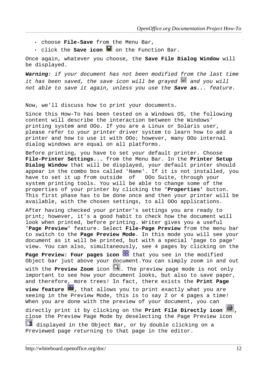- choose **File-Save** from the Menu Bar,
- . click the **Save icon a** on the Function Bar.

Once again, whatever you choose, the **Save File Dialog Window** will be displayed.

**Warning:** if your document has not been modified from the last time it has been saved, the save icon will be grayed  $\Box$  and you will not able to save it again, unless you use the **Save as..**. feature.

Now, we'll discuss how to print your documents.

Since this How-To has been tested on a Windows OS, the following content will describe the interaction between the Windows' printing system and OOo. If you are a Linux or Solaris user, please refer to your printer driver system to learn how to add a printer and how to use it with OOo; however, many OOo internal dialog windows are equal on all platforms.

Before printing, you have to set your default printer. Choose **File-Printer Settings...** from the Menu Bar. In the **Printer Setup Dialog Window** that will be displayed, your default printer should appear in the combo box called 'Name'. If it is not installed, you have to set it up from outside of OOo Suite, through your system printing tools. You will be able to change some of the properties of your printer by clicking the **'Properties'** button. This first phase has to be done once and then your printer will be available, with the chosen settings, to all OOo applications.

After having checked your printer's settings you are ready to print; however, it's a good habit to check how the document will look when printed, before printing. Writer gives you a useful **'Page Preview'** feature. Select **File-Page Preview** from the menu bar to switch to the **Page Preview Mode**. In this mode you will see your document as it will be printed, but with a special 'page to page' view. You can also, simultaneously, see 4 pages by clicking on the

**Page Preview: Four pages icon & that you see in the modified** Object bar just above your document.You can simply zoom in and out with the **Preview Zoom** icon  $\alpha$ . The preview page mode is not only important to see how your document looks, but also to save paper, and therefore, more trees! In fact, there exists the **Print Page view feature**  $\mathbb{B}$ , that allows you to print exactly what you are seeing in the Preview Mode, this is to say 2 or 4 pages a time! When you are done with the preview of your document, you can directly print it by clicking on the **Print File Directly icon**  $\blacksquare$ . close the Preview Page Mode by deselecting the Page Preview icon displayed in the Object Bar, or by double clicking on a Previewed page returning to that page in the editor.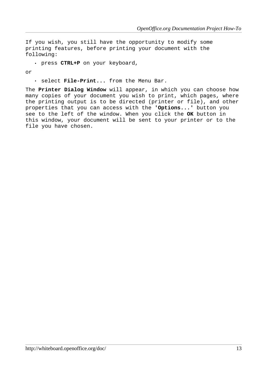If you wish, you still have the opportunity to modify some printing features, before printing your document with the following:

press **CTRL+P** on your keyboard,

or

select **File-Print...** from the Menu Bar.

The **Printer Dialog Window** will appear, in which you can choose how many copies of your document you wish to print, which pages, where the printing output is to be directed (printer or file), and other properties that you can access with the **'Options...'** button you see to the left of the window. When you click the **OK** button in this window, your document will be sent to your printer or to the file you have chosen.